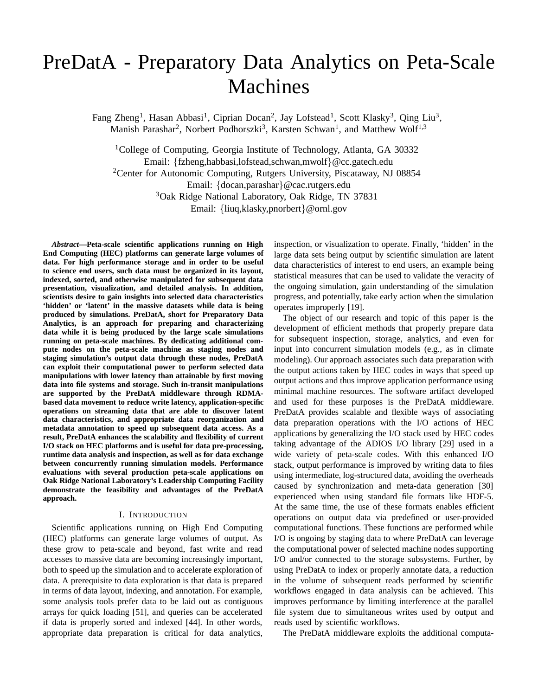# PreDatA - Preparatory Data Analytics on Peta-Scale Machines

Fang Zheng<sup>1</sup>, Hasan Abbasi<sup>1</sup>, Ciprian Docan<sup>2</sup>, Jay Lofstead<sup>1</sup>, Scott Klasky<sup>3</sup>, Oing Liu<sup>3</sup>, Manish Parashar<sup>2</sup>, Norbert Podhorszki<sup>3</sup>, Karsten Schwan<sup>1</sup>, and Matthew Wolf<sup>1,3</sup>

<sup>1</sup>College of Computing, Georgia Institute of Technology, Atlanta, GA 30332 Email: *{*fzheng,habbasi,lofstead,schwan,mwolf*}*@cc.gatech.edu <sup>2</sup>Center for Autonomic Computing, Rutgers University, Piscataway, NJ 08854 Email: *{*docan,parashar*}*@cac.rutgers.edu 3Oak Ridge National Laboratory, Oak Ridge, TN 37831 Email: *{*liuq,klasky,pnorbert*}*@ornl.gov

*Abstract***—Peta-scale scientific applications running on High End Computing (HEC) platforms can generate large volumes of data. For high performance storage and in order to be useful to science end users, such data must be organized in its layout, indexed, sorted, and otherwise manipulated for subsequent data presentation, visualization, and detailed analysis. In addition, scientists desire to gain insights into selected data characteristics 'hidden' or 'latent' in the massive datasets while data is being produced by simulations. PreDatA, short for Preparatory Data Analytics, is an approach for preparing and characterizing data while it is being produced by the large scale simulations running on peta-scale machines. By dedicating additional compute nodes on the peta-scale machine as staging nodes and staging simulation's output data through these nodes, PreDatA can exploit their computational power to perform selected data manipulations with lower latency than attainable by first moving data into file systems and storage. Such in-transit manipulations are supported by the PreDatA middleware through RDMAbased data movement to reduce write latency, application-specific operations on streaming data that are able to discover latent data characteristics, and appropriate data reorganization and metadata annotation to speed up subsequent data access. As a result, PreDatA enhances the scalability and flexibility of current I/O stack on HEC platforms and is useful for data pre-processing, runtime data analysis and inspection, as well as for data exchange between concurrently running simulation models. Performance evaluations with several production peta-scale applications on Oak Ridge National Laboratory's Leadership Computing Facility demonstrate the feasibility and advantages of the PreDatA approach.**

#### I. INTRODUCTION

Scientific applications running on High End Computing (HEC) platforms can generate large volumes of output. As these grow to peta-scale and beyond, fast write and read accesses to massive data are becoming increasingly important, both to speed up the simulation and to accelerate exploration of data. A prerequisite to data exploration is that data is prepared in terms of data layout, indexing, and annotation. For example, some analysis tools prefer data to be laid out as contiguous arrays for quick loading [51], and queries can be accelerated if data is properly sorted and indexed [44]. In other words, appropriate data preparation is critical for data analytics,

inspection, or visualization to operate. Finally, 'hidden' in the large data sets being output by scientific simulation are latent data characteristics of interest to end users, an example being statistical measures that can be used to validate the veracity of the ongoing simulation, gain understanding of the simulation progress, and potentially, take early action when the simulation operates improperly [19].

The object of our research and topic of this paper is the development of efficient methods that properly prepare data for subsequent inspection, storage, analytics, and even for input into concurrent simulation models (e.g., as in climate modeling). Our approach associates such data preparation with the output actions taken by HEC codes in ways that speed up output actions and thus improve application performance using minimal machine resources. The software artifact developed and used for these purposes is the PreDatA middleware. PreDatA provides scalable and flexible ways of associating data preparation operations with the I/O actions of HEC applications by generalizing the I/O stack used by HEC codes taking advantage of the ADIOS I/O library [29] used in a wide variety of peta-scale codes. With this enhanced I/O stack, output performance is improved by writing data to files using intermediate, log-structured data, avoiding the overheads caused by synchronization and meta-data generation [30] experienced when using standard file formats like HDF-5. At the same time, the use of these formats enables efficient operations on output data via predefined or user-provided computational functions. These functions are performed while I/O is ongoing by staging data to where PreDatA can leverage the computational power of selected machine nodes supporting I/O and/or connected to the storage subsystems. Further, by using PreDatA to index or properly annotate data, a reduction in the volume of subsequent reads performed by scientific workflows engaged in data analysis can be achieved. This improves performance by limiting interference at the parallel file system due to simultaneous writes used by output and reads used by scientific workflows.

The PreDatA middleware exploits the additional computa-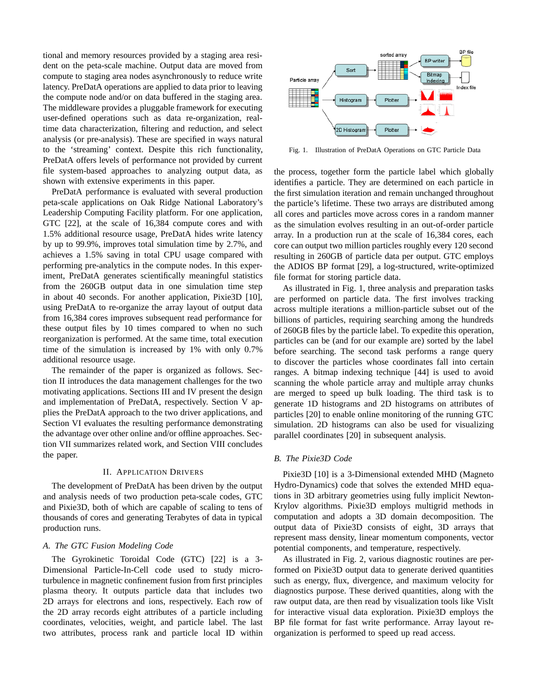tional and memory resources provided by a staging area resident on the peta-scale machine. Output data are moved from compute to staging area nodes asynchronously to reduce write latency. PreDatA operations are applied to data prior to leaving the compute node and/or on data buffered in the staging area. The middleware provides a pluggable framework for executing user-defined operations such as data re-organization, realtime data characterization, filtering and reduction, and select analysis (or pre-analysis). These are specified in ways natural to the 'streaming' context. Despite this rich functionality, PreDatA offers levels of performance not provided by current file system-based approaches to analyzing output data, as shown with extensive experiments in this paper.

PreDatA performance is evaluated with several production peta-scale applications on Oak Ridge National Laboratory's Leadership Computing Facility platform. For one application, GTC [22], at the scale of 16,384 compute cores and with 1.5% additional resource usage, PreDatA hides write latency by up to 99.9%, improves total simulation time by 2.7%, and achieves a 1.5% saving in total CPU usage compared with performing pre-analytics in the compute nodes. In this experiment, PreDatA generates scientifically meaningful statistics from the 260GB output data in one simulation time step in about 40 seconds. For another application, Pixie3D [10], using PreDatA to re-organize the array layout of output data from 16,384 cores improves subsequent read performance for these output files by 10 times compared to when no such reorganization is performed. At the same time, total execution time of the simulation is increased by 1% with only 0.7% additional resource usage.

The remainder of the paper is organized as follows. Section II introduces the data management challenges for the two motivating applications. Sections III and IV present the design and implementation of PreDatA, respectively. Section V applies the PreDatA approach to the two driver applications, and Section VI evaluates the resulting performance demonstrating the advantage over other online and/or offline approaches. Section VII summarizes related work, and Section VIII concludes the paper.

#### II. APPLICATION DRIVERS

The development of PreDatA has been driven by the output and analysis needs of two production peta-scale codes, GTC and Pixie3D, both of which are capable of scaling to tens of thousands of cores and generating Terabytes of data in typical production runs.

# *A. The GTC Fusion Modeling Code*

The Gyrokinetic Toroidal Code (GTC) [22] is a 3- Dimensional Particle-In-Cell code used to study microturbulence in magnetic confinement fusion from first principles plasma theory. It outputs particle data that includes two 2D arrays for electrons and ions, respectively. Each row of the 2D array records eight attributes of a particle including coordinates, velocities, weight, and particle label. The last two attributes, process rank and particle local ID within



Fig. 1. Illustration of PreDatA Operations on GTC Particle Data

the process, together form the particle label which globally identifies a particle. They are determined on each particle in the first simulation iteration and remain unchanged throughout the particle's lifetime. These two arrays are distributed among all cores and particles move across cores in a random manner as the simulation evolves resulting in an out-of-order particle array. In a production run at the scale of 16,384 cores, each core can output two million particles roughly every 120 second resulting in 260GB of particle data per output. GTC employs the ADIOS BP format [29], a log-structured, write-optimized file format for storing particle data.

As illustrated in Fig. 1, three analysis and preparation tasks are performed on particle data. The first involves tracking across multiple iterations a million-particle subset out of the billions of particles, requiring searching among the hundreds of 260GB files by the particle label. To expedite this operation, particles can be (and for our example are) sorted by the label before searching. The second task performs a range query to discover the particles whose coordinates fall into certain ranges. A bitmap indexing technique [44] is used to avoid scanning the whole particle array and multiple array chunks are merged to speed up bulk loading. The third task is to generate 1D histograms and 2D histograms on attributes of particles [20] to enable online monitoring of the running GTC simulation. 2D histograms can also be used for visualizing parallel coordinates [20] in subsequent analysis.

## *B. The Pixie3D Code*

Pixie3D [10] is a 3-Dimensional extended MHD (Magneto Hydro-Dynamics) code that solves the extended MHD equations in 3D arbitrary geometries using fully implicit Newton-Krylov algorithms. Pixie3D employs multigrid methods in computation and adopts a 3D domain decomposition. The output data of Pixie3D consists of eight, 3D arrays that represent mass density, linear momentum components, vector potential components, and temperature, respectively.

As illustrated in Fig. 2, various diagnostic routines are performed on Pixie3D output data to generate derived quantities such as energy, flux, divergence, and maximum velocity for diagnostics purpose. These derived quantities, along with the raw output data, are then read by visualization tools like VisIt for interactive visual data exploration. Pixie3D employs the BP file format for fast write performance. Array layout reorganization is performed to speed up read access.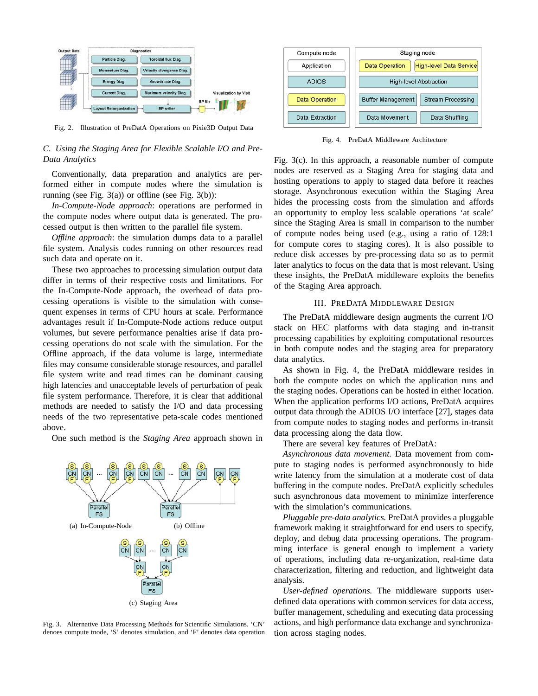

Fig. 2. Illustration of PreDatA Operations on Pixie3D Output Data

# *C. Using the Staging Area for Flexible Scalable I/O and Pre-Data Analytics*

Conventionally, data preparation and analytics are performed either in compute nodes where the simulation is running (see Fig.  $3(a)$ ) or offline (see Fig.  $3(b)$ ):

*In-Compute-Node approach*: operations are performed in the compute nodes where output data is generated. The processed output is then written to the parallel file system.

*Offline approach*: the simulation dumps data to a parallel file system. Analysis codes running on other resources read such data and operate on it.

These two approaches to processing simulation output data differ in terms of their respective costs and limitations. For the In-Compute-Node approach, the overhead of data processing operations is visible to the simulation with consequent expenses in terms of CPU hours at scale. Performance advantages result if In-Compute-Node actions reduce output volumes, but severe performance penalties arise if data processing operations do not scale with the simulation. For the Offline approach, if the data volume is large, intermediate files may consume considerable storage resources, and parallel file system write and read times can be dominant causing high latencies and unacceptable levels of perturbation of peak file system performance. Therefore, it is clear that additional methods are needed to satisfy the I/O and data processing needs of the two representative peta-scale codes mentioned above.

One such method is the *Staging Area* approach shown in



Fig. 3. Alternative Data Processing Methods for Scientific Simulations. 'CN' denoes compute tnode, 'S' denotes simulation, and 'F' denotes data operation



Fig. 4. PreDatA Middleware Architecture

Fig. 3(c). In this approach, a reasonable number of compute nodes are reserved as a Staging Area for staging data and hosting operations to apply to staged data before it reaches storage. Asynchronous execution within the Staging Area hides the processing costs from the simulation and affords an opportunity to employ less scalable operations 'at scale' since the Staging Area is small in comparison to the number of compute nodes being used (e.g., using a ratio of 128:1 for compute cores to staging cores). It is also possible to reduce disk accesses by pre-processing data so as to permit later analytics to focus on the data that is most relevant. Using these insights, the PreDatA middleware exploits the benefits of the Staging Area approach.

## III. PREDATA MIDDLEWARE DESIGN

The PreDatA middleware design augments the current I/O stack on HEC platforms with data staging and in-transit processing capabilities by exploiting computational resources in both compute nodes and the staging area for preparatory data analytics.

As shown in Fig. 4, the PreDatA middleware resides in both the compute nodes on which the application runs and the staging nodes. Operations can be hosted in either location. When the application performs I/O actions, PreDatA acquires output data through the ADIOS I/O interface [27], stages data from compute nodes to staging nodes and performs in-transit data processing along the data flow.

There are several key features of PreDatA:

*Asynchronous data movement.* Data movement from compute to staging nodes is performed asynchronously to hide write latency from the simulation at a moderate cost of data buffering in the compute nodes. PreDatA explicitly schedules such asynchronous data movement to minimize interference with the simulation's communications.

*Pluggable pre-data analytics.* PreDatA provides a pluggable framework making it straightforward for end users to specify, deploy, and debug data processing operations. The programming interface is general enough to implement a variety of operations, including data re-organization, real-time data characterization, filtering and reduction, and lightweight data analysis.

*User-defined operations.* The middleware supports userdefined data operations with common services for data access, buffer management, scheduling and executing data processing actions, and high performance data exchange and synchronization across staging nodes.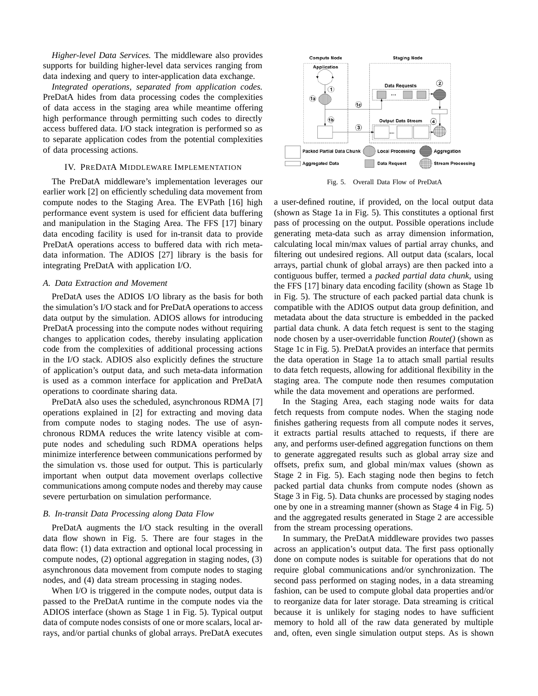*Higher-level Data Services.* The middleware also provides supports for building higher-level data services ranging from data indexing and query to inter-application data exchange.

*Integrated operations, separated from application codes.* PreDatA hides from data processing codes the complexities of data access in the staging area while meantime offering high performance through permitting such codes to directly access buffered data. I/O stack integration is performed so as to separate application codes from the potential complexities of data processing actions.

## IV. PREDATA MIDDLEWARE IMPLEMENTATION

The PreDatA middleware's implementation leverages our earlier work [2] on efficiently scheduling data movement from compute nodes to the Staging Area. The EVPath [16] high performance event system is used for efficient data buffering and manipulation in the Staging Area. The FFS [17] binary data encoding facility is used for in-transit data to provide PreDatA operations access to buffered data with rich metadata information. The ADIOS [27] library is the basis for integrating PreDatA with application I/O.

# *A. Data Extraction and Movement*

PreDatA uses the ADIOS I/O library as the basis for both the simulation's I/O stack and for PreDatA operations to access data output by the simulation. ADIOS allows for introducing PreDatA processing into the compute nodes without requiring changes to application codes, thereby insulating application code from the complexities of additional processing actions in the I/O stack. ADIOS also explicitly defines the structure of application's output data, and such meta-data information is used as a common interface for application and PreDatA operations to coordinate sharing data.

PreDatA also uses the scheduled, asynchronous RDMA [7] operations explained in [2] for extracting and moving data from compute nodes to staging nodes. The use of asynchronous RDMA reduces the write latency visible at compute nodes and scheduling such RDMA operations helps minimize interference between communications performed by the simulation vs. those used for output. This is particularly important when output data movement overlaps collective communications among compute nodes and thereby may cause severe perturbation on simulation performance.

## *B. In-transit Data Processing along Data Flow*

PreDatA augments the I/O stack resulting in the overall data flow shown in Fig. 5. There are four stages in the data flow: (1) data extraction and optional local processing in compute nodes, (2) optional aggregation in staging nodes, (3) asynchronous data movement from compute nodes to staging nodes, and (4) data stream processing in staging nodes.

When I/O is triggered in the compute nodes, output data is passed to the PreDatA runtime in the compute nodes via the ADIOS interface (shown as Stage 1 in Fig. 5). Typical output data of compute nodes consists of one or more scalars, local arrays, and/or partial chunks of global arrays. PreDatA executes



Fig. 5. Overall Data Flow of PreDatA

a user-defined routine, if provided, on the local output data (shown as Stage 1a in Fig. 5). This constitutes a optional first pass of processing on the output. Possible operations include generating meta-data such as array dimension information, calculating local min/max values of partial array chunks, and filtering out undesired regions. All output data (scalars, local arrays, partial chunk of global arrays) are then packed into a contiguous buffer, termed a *packed partial data chunk*, using the FFS [17] binary data encoding facility (shown as Stage 1b in Fig. 5). The structure of each packed partial data chunk is compatible with the ADIOS output data group definition, and metadata about the data structure is embedded in the packed partial data chunk. A data fetch request is sent to the staging node chosen by a user-overridable function *Route()* (shown as Stage 1c in Fig. 5). PreDatA provides an interface that permits the data operation in Stage 1a to attach small partial results to data fetch requests, allowing for additional flexibility in the staging area. The compute node then resumes computation while the data movement and operations are performed.

In the Staging Area, each staging node waits for data fetch requests from compute nodes. When the staging node finishes gathering requests from all compute nodes it serves, it extracts partial results attached to requests, if there are any, and performs user-defined aggregation functions on them to generate aggregated results such as global array size and offsets, prefix sum, and global min/max values (shown as Stage 2 in Fig. 5). Each staging node then begins to fetch packed partial data chunks from compute nodes (shown as Stage 3 in Fig. 5). Data chunks are processed by staging nodes one by one in a streaming manner (shown as Stage 4 in Fig. 5) and the aggregated results generated in Stage 2 are accessible from the stream processing operations.

In summary, the PreDatA middleware provides two passes across an application's output data. The first pass optionally done on compute nodes is suitable for operations that do not require global communications and/or synchronization. The second pass performed on staging nodes, in a data streaming fashion, can be used to compute global data properties and/or to reorganize data for later storage. Data streaming is critical because it is unlikely for staging nodes to have sufficient memory to hold all of the raw data generated by multiple and, often, even single simulation output steps. As is shown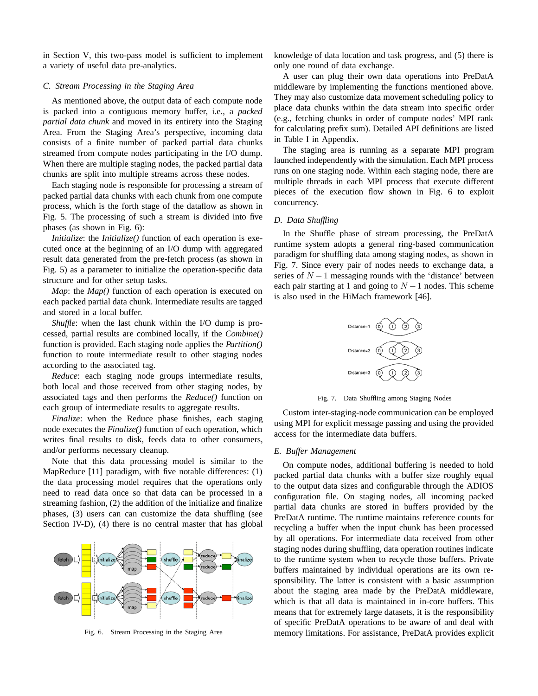in Section V, this two-pass model is sufficient to implement a variety of useful data pre-analytics.

## *C. Stream Processing in the Staging Area*

As mentioned above, the output data of each compute node is packed into a contiguous memory buffer, i.e., a *packed partial data chunk* and moved in its entirety into the Staging Area. From the Staging Area's perspective, incoming data consists of a finite number of packed partial data chunks streamed from compute nodes participating in the I/O dump. When there are multiple staging nodes, the packed partial data chunks are split into multiple streams across these nodes.

Each staging node is responsible for processing a stream of packed partial data chunks with each chunk from one compute process, which is the forth stage of the dataflow as shown in Fig. 5. The processing of such a stream is divided into five phases (as shown in Fig. 6):

*Initialize*: the *Initialize()* function of each operation is executed once at the beginning of an I/O dump with aggregated result data generated from the pre-fetch process (as shown in Fig. 5) as a parameter to initialize the operation-specific data structure and for other setup tasks.

*Map*: the *Map()* function of each operation is executed on each packed partial data chunk. Intermediate results are tagged and stored in a local buffer.

*Shuffle*: when the last chunk within the I/O dump is processed, partial results are combined locally, if the *Combine()* function is provided. Each staging node applies the *Partition()* function to route intermediate result to other staging nodes according to the associated tag.

*Reduce*: each staging node groups intermediate results, both local and those received from other staging nodes, by associated tags and then performs the *Reduce()* function on each group of intermediate results to aggregate results.

*Finalize*: when the Reduce phase finishes, each staging node executes the *Finalize()* function of each operation, which writes final results to disk, feeds data to other consumers, and/or performs necessary cleanup.

Note that this data processing model is similar to the MapReduce [11] paradigm, with five notable differences: (1) the data processing model requires that the operations only need to read data once so that data can be processed in a streaming fashion, (2) the addition of the initialize and finalize phases, (3) users can can customize the data shuffling (see Section IV-D), (4) there is no central master that has global



Fig. 6. Stream Processing in the Staging Area

knowledge of data location and task progress, and (5) there is only one round of data exchange.

A user can plug their own data operations into PreDatA middleware by implementing the functions mentioned above. They may also customize data movement scheduling policy to place data chunks within the data stream into specific order (e.g., fetching chunks in order of compute nodes' MPI rank for calculating prefix sum). Detailed API definitions are listed in Table I in Appendix.

The staging area is running as a separate MPI program launched independently with the simulation. Each MPI process runs on one staging node. Within each staging node, there are multiple threads in each MPI process that execute different pieces of the execution flow shown in Fig. 6 to exploit concurrency.

## *D. Data Shuffling*

In the Shuffle phase of stream processing, the PreDatA runtime system adopts a general ring-based communication paradigm for shuffling data among staging nodes, as shown in Fig. 7. Since every pair of nodes needs to exchange data, a series of *N* − 1 messaging rounds with the 'distance' between each pair starting at 1 and going to  $N-1$  nodes. This scheme is also used in the HiMach framework [46].



Fig. 7. Data Shuffling among Staging Nodes

Custom inter-staging-node communication can be employed using MPI for explicit message passing and using the provided access for the intermediate data buffers.

## *E. Buffer Management*

On compute nodes, additional buffering is needed to hold packed partial data chunks with a buffer size roughly equal to the output data sizes and configurable through the ADIOS configuration file. On staging nodes, all incoming packed partial data chunks are stored in buffers provided by the PreDatA runtime. The runtime maintains reference counts for recycling a buffer when the input chunk has been processed by all operations. For intermediate data received from other staging nodes during shuffling, data operation routines indicate to the runtime system when to recycle those buffers. Private buffers maintained by individual operations are its own responsibility. The latter is consistent with a basic assumption about the staging area made by the PreDatA middleware, which is that all data is maintained in in-core buffers. This means that for extremely large datasets, it is the responsibility of specific PreDatA operations to be aware of and deal with memory limitations. For assistance, PreDatA provides explicit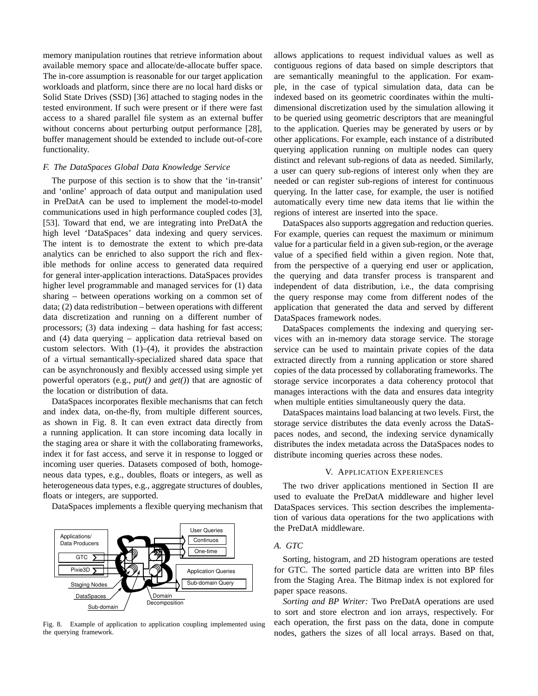memory manipulation routines that retrieve information about available memory space and allocate/de-allocate buffer space. The in-core assumption is reasonable for our target application workloads and platform, since there are no local hard disks or Solid State Drives (SSD) [36] attached to staging nodes in the tested environment. If such were present or if there were fast access to a shared parallel file system as an external buffer without concerns about perturbing output performance [28], buffer management should be extended to include out-of-core functionality.

## *F. The DataSpaces Global Data Knowledge Service*

The purpose of this section is to show that the 'in-transit' and 'online' approach of data output and manipulation used in PreDatA can be used to implement the model-to-model communications used in high performance coupled codes [3], [53]. Toward that end, we are integrating into PreDatA the high level 'DataSpaces' data indexing and query services. The intent is to demostrate the extent to which pre-data analytics can be enriched to also support the rich and flexible methods for online access to generated data required for general inter-application interactions. DataSpaces provides higher level programmable and managed services for (1) data sharing – between operations working on a common set of data; (2) data redistribution – between operations with different data discretization and running on a different number of processors; (3) data indexing – data hashing for fast access; and (4) data querying – application data retrieval based on custom selectors. With  $(1)$ – $(4)$ , it provides the abstraction of a virtual semantically-specialized shared data space that can be asynchronously and flexibly accessed using simple yet powerful operators (e.g., *put()* and *get()*) that are agnostic of the location or distribution of data.

DataSpaces incorporates flexible mechanisms that can fetch and index data, on-the-fly, from multiple different sources, as shown in Fig. 8. It can even extract data directly from a running application. It can store incoming data locally in the staging area or share it with the collaborating frameworks, index it for fast access, and serve it in response to logged or incoming user queries. Datasets composed of both, homogeneous data types, e.g., doubles, floats or integers, as well as heterogeneous data types, e.g., aggregate structures of doubles, floats or integers, are supported.

DataSpaces implements a flexible querying mechanism that



Fig. 8. Example of application to application coupling implemented using the querying framework.

allows applications to request individual values as well as contiguous regions of data based on simple descriptors that are semantically meaningful to the application. For example, in the case of typical simulation data, data can be indexed based on its geometric coordinates within the multidimensional discretization used by the simulation allowing it to be queried using geometric descriptors that are meaningful to the application. Queries may be generated by users or by other applications. For example, each instance of a distributed querying application running on multiple nodes can query distinct and relevant sub-regions of data as needed. Similarly, a user can query sub-regions of interest only when they are needed or can register sub-regions of interest for continuous querying. In the latter case, for example, the user is notified automatically every time new data items that lie within the regions of interest are inserted into the space.

DataSpaces also supports aggregation and reduction queries. For example, queries can request the maximum or minimum value for a particular field in a given sub-region, or the average value of a specified field within a given region. Note that, from the perspective of a querying end user or application, the querying and data transfer process is transparent and independent of data distribution, i.e., the data comprising the query response may come from different nodes of the application that generated the data and served by different DataSpaces framework nodes.

DataSpaces complements the indexing and querying services with an in-memory data storage service. The storage service can be used to maintain private copies of the data extracted directly from a running application or store shared copies of the data processed by collaborating frameworks. The storage service incorporates a data coherency protocol that manages interactions with the data and ensures data integrity when multiple entities simultaneously query the data.

DataSpaces maintains load balancing at two levels. First, the storage service distributes the data evenly across the DataSpaces nodes, and second, the indexing service dynamically distributes the index metadata across the DataSpaces nodes to distribute incoming queries across these nodes.

## V. APPLICATION EXPERIENCES

The two driver applications mentioned in Section II are used to evaluate the PreDatA middleware and higher level DataSpaces services. This section describes the implementation of various data operations for the two applications with the PreDatA middleware.

# *A. GTC*

Sorting, histogram, and 2D histogram operations are tested for GTC. The sorted particle data are written into BP files from the Staging Area. The Bitmap index is not explored for paper space reasons.

*Sorting and BP Writer:* Two PreDatA operations are used to sort and store electron and ion arrays, respectively. For each operation, the first pass on the data, done in compute nodes, gathers the sizes of all local arrays. Based on that,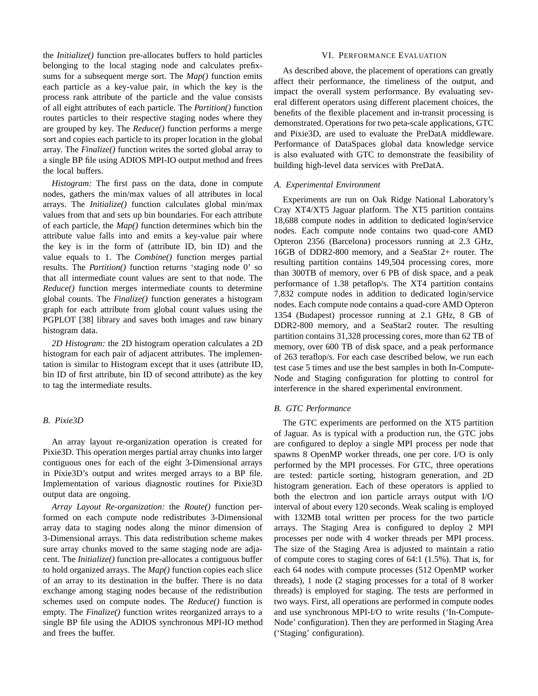the *Initialize()* function pre-allocates buffers to hold particles belonging to the local staging node and calculates prefixsums for a subsequent merge sort. The *Map()* function emits each particle as a key-value pair, in which the key is the process rank attribute of the particle and the value consists of all eight attributes of each particle. The *Partition()* function routes particles to their respective staging nodes where they are grouped by key. The *Reduce()* function performs a merge sort and copies each particle to its proper location in the global array. The *Finalize()* function writes the sorted global array to a single BP file using ADIOS MPI-IO output method and frees the local buffers.

*Histogram:* The first pass on the data, done in compute nodes, gathers the min/max values of all attributes in local arrays. The *Initialize()* function calculates global min/max values from that and sets up bin boundaries. For each attribute of each particle, the *Map()* function determines which bin the attribute value falls into and emits a key-value pair where the key is in the form of (attribute ID, bin ID) and the value equals to 1. The *Combine()* function merges partial results. The *Partition()* function returns 'staging node 0' so that all intermediate count values are sent to that node. The *Reduce()* function merges intermediate counts to determine global counts. The *Finalize()* function generates a histogram graph for each attribute from global count values using the PGPLOT [38] library and saves both images and raw binary histogram data.

*2D Histogram:* the 2D histogram operation calculates a 2D histogram for each pair of adjacent attributes. The implementation is similar to Histogram except that it uses (attribute ID, bin ID of first attribute, bin ID of second attribute) as the key to tag the intermediate results.

# *B. Pixie3D*

An array layout re-organization operation is created for Pixie3D. This operation merges partial array chunks into larger contiguous ones for each of the eight 3-Dimensional arrays in Pixie3D's output and writes merged arrays to a BP file. Implementation of various diagnostic routines for Pixie3D output data are ongoing.

*Array Layout Re-organization:* the *Route()* function performed on each compute node redistributes 3-Dimensional array data to staging nodes along the minor dimension of 3-Dimensional arrays. This data redistribution scheme makes sure array chunks moved to the same staging node are adjacent. The *Initialize()* function pre-allocates a contiguous buffer to hold organized arrays. The *Map()* function copies each slice of an array to its destination in the buffer. There is no data exchange among staging nodes because of the redistribution schemes used on compute nodes. The *Reduce()* function is empty. The *Finalize()* function writes reorganized arrays to a single BP file using the ADIOS synchronous MPI-IO method and frees the buffer.

### VI. PERFORMANCE EVALUATION

As described above, the placement of operations can greatly affect their performance, the timeliness of the output, and impact the overall system performance. By evaluating several different operators using different placement choices, the benefits of the flexible placement and in-transit processing is demonstrated. Operations for two peta-scale applications, GTC and Pixie3D, are used to evaluate the PreDatA middleware. Performance of DataSpaces global data knowledge service is also evaluated with GTC to demonstrate the feasibility of building high-level data services with PreDatA.

#### *A. Experimental Environment*

Experiments are run on Oak Ridge National Laboratory's Cray XT4/XT5 Jaguar platform. The XT5 partition contains 18,688 compute nodes in addition to dedicated login/service nodes. Each compute node contains two quad-core AMD Opteron 2356 (Barcelona) processors running at 2.3 GHz, 16GB of DDR2-800 memory, and a SeaStar 2+ router. The resulting partition contains 149,504 processing cores, more than 300TB of memory, over 6 PB of disk space, and a peak performance of 1.38 petaflop/s. The XT4 partition contains 7,832 compute nodes in addition to dedicated login/service nodes. Each compute node contains a quad-core AMD Opteron 1354 (Budapest) processor running at 2.1 GHz, 8 GB of DDR2-800 memory, and a SeaStar2 router. The resulting partition contains 31,328 processing cores, more than 62 TB of memory, over 600 TB of disk space, and a peak performance of 263 teraflop/s. For each case described below, we run each test case 5 times and use the best samples in both In-Compute-Node and Staging configuration for plotting to control for interference in the shared experimental environment.

## *B. GTC Performance*

The GTC experiments are performed on the XT5 partition of Jaguar. As is typical with a production run, the GTC jobs are configured to deploy a single MPI process per node that spawns 8 OpenMP worker threads, one per core. I/O is only performed by the MPI processes. For GTC, three operations are tested: particle sorting, histogram generation, and 2D histogram generation. Each of these operators is applied to both the electron and ion particle arrays output with I/O interval of about every 120 seconds. Weak scaling is employed with 132MB total written per process for the two particle arrays. The Staging Area is configured to deploy 2 MPI processes per node with 4 worker threads per MPI process. The size of the Staging Area is adjusted to maintain a ratio of compute cores to staging cores of 64:1 (1.5%). That is, for each 64 nodes with compute processes (512 OpenMP worker threads), 1 node (2 staging processes for a total of 8 worker threads) is employed for staging. The tests are performed in two ways. First, all operations are performed in compute nodes and use synchronous MPI-I/O to write results ('In-Compute-Node' configuration). Then they are performed in Staging Area ('Staging' configuration).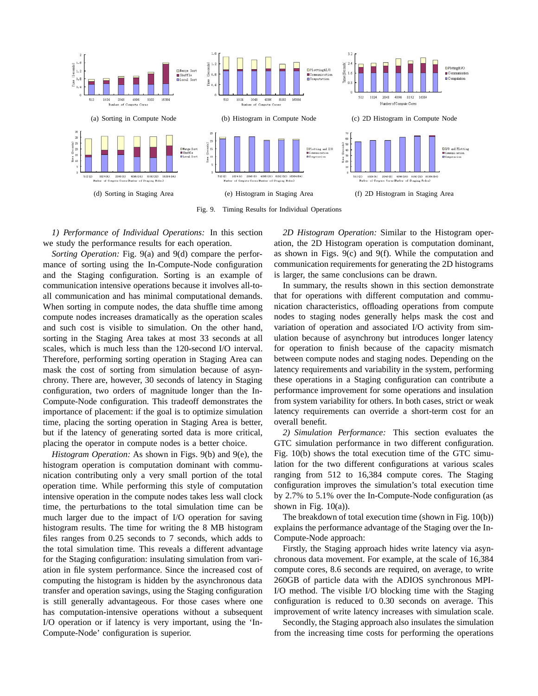

Fig. 9. Timing Results for Individual Operations

*1) Performance of Individual Operations:* In this section we study the performance results for each operation.

*Sorting Operation:* Fig. 9(a) and 9(d) compare the performance of sorting using the In-Compute-Node configuration and the Staging configuration. Sorting is an example of communication intensive operations because it involves all-toall communication and has minimal computational demands. When sorting in compute nodes, the data shuffle time among compute nodes increases dramatically as the operation scales and such cost is visible to simulation. On the other hand, sorting in the Staging Area takes at most 33 seconds at all scales, which is much less than the 120-second I/O interval. Therefore, performing sorting operation in Staging Area can mask the cost of sorting from simulation because of asynchrony. There are, however, 30 seconds of latency in Staging configuration, two orders of magnitude longer than the In-Compute-Node configuration. This tradeoff demonstrates the importance of placement: if the goal is to optimize simulation time, placing the sorting operation in Staging Area is better, but if the latency of generating sorted data is more critical, placing the operator in compute nodes is a better choice.

*Histogram Operation:* As shown in Figs. 9(b) and 9(e), the histogram operation is computation dominant with communication contributing only a very small portion of the total operation time. While performing this style of computation intensive operation in the compute nodes takes less wall clock time, the perturbations to the total simulation time can be much larger due to the impact of I/O operation for saving histogram results. The time for writing the 8 MB histogram files ranges from 0.25 seconds to 7 seconds, which adds to the total simulation time. This reveals a different advantage for the Staging configuration: insulating simulation from variation in file system performance. Since the increased cost of computing the histogram is hidden by the asynchronous data transfer and operation savings, using the Staging configuration is still generally advantageous. For those cases where one has computation-intensive operations without a subsequent I/O operation or if latency is very important, using the 'In-Compute-Node' configuration is superior.

*2D Histogram Operation:* Similar to the Histogram operation, the 2D Histogram operation is computation dominant, as shown in Figs. 9(c) and 9(f). While the computation and communication requirements for generating the 2D histograms is larger, the same conclusions can be drawn.

In summary, the results shown in this section demonstrate that for operations with different computation and communication characteristics, offloading operations from compute nodes to staging nodes generally helps mask the cost and variation of operation and associated I/O activity from simulation because of asynchrony but introduces longer latency for operation to finish because of the capacity mismatch between compute nodes and staging nodes. Depending on the latency requirements and variability in the system, performing these operations in a Staging configuration can contribute a performance improvement for some operations and insulation from system variability for others. In both cases, strict or weak latency requirements can override a short-term cost for an overall benefit.

*2) Simulation Performance:* This section evaluates the GTC simulation performance in two different configuration. Fig. 10(b) shows the total execution time of the GTC simulation for the two different configurations at various scales ranging from 512 to 16,384 compute cores. The Staging configuration improves the simulation's total execution time by 2.7% to 5.1% over the In-Compute-Node configuration (as shown in Fig.  $10(a)$ ).

The breakdown of total execution time (shown in Fig. 10(b)) explains the performance advantage of the Staging over the In-Compute-Node approach:

Firstly, the Staging approach hides write latency via asynchronous data movement. For example, at the scale of 16,384 compute cores, 8.6 seconds are required, on average, to write 260GB of particle data with the ADIOS synchronous MPI-I/O method. The visible I/O blocking time with the Staging configuration is reduced to 0.30 seconds on average. This improvement of write latency increases with simulation scale.

Secondly, the Staging approach also insulates the simulation from the increasing time costs for performing the operations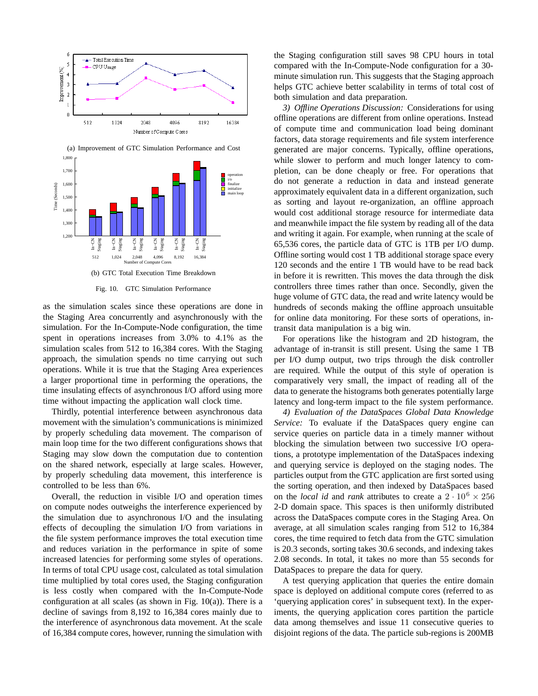



Fig. 10. GTC Simulation Performance

as the simulation scales since these operations are done in the Staging Area concurrently and asynchronously with the simulation. For the In-Compute-Node configuration, the time spent in operations increases from 3.0% to 4.1% as the simulation scales from 512 to 16,384 cores. With the Staging approach, the simulation spends no time carrying out such operations. While it is true that the Staging Area experiences a larger proportional time in performing the operations, the time insulating effects of asynchronous I/O afford using more time without impacting the application wall clock time.

Thirdly, potential interference between asynchronous data movement with the simulation's communications is minimized by properly scheduling data movement. The comparison of main loop time for the two different configurations shows that Staging may slow down the computation due to contention on the shared network, especially at large scales. However, by properly scheduling data movement, this interference is controlled to be less than 6%.

Overall, the reduction in visible I/O and operation times on compute nodes outweighs the interference experienced by the simulation due to asynchronous I/O and the insulating effects of decoupling the simulation I/O from variations in the file system performance improves the total execution time and reduces variation in the performance in spite of some increased latencies for performing some styles of operations. In terms of total CPU usage cost, calculated as total simulation time multiplied by total cores used, the Staging configuration is less costly when compared with the In-Compute-Node configuration at all scales (as shown in Fig. 10(a)). There is a decline of savings from 8,192 to 16,384 cores mainly due to the interference of asynchronous data movement. At the scale of 16,384 compute cores, however, running the simulation with

the Staging configuration still saves 98 CPU hours in total compared with the In-Compute-Node configuration for a 30 minute simulation run. This suggests that the Staging approach helps GTC achieve better scalability in terms of total cost of both simulation and data preparation.

*3) Offline Operations Discussion:* Considerations for using offline operations are different from online operations. Instead of compute time and communication load being dominant factors, data storage requirements and file system interference generated are major concerns. Typically, offline operations, while slower to perform and much longer latency to completion, can be done cheaply or free. For operations that do not generate a reduction in data and instead generate approximately equivalent data in a different organization, such as sorting and layout re-organization, an offline approach would cost additional storage resource for intermediate data and meanwhile impact the file system by reading all of the data and writing it again. For example, when running at the scale of 65,536 cores, the particle data of GTC is 1TB per I/O dump. Offline sorting would cost 1 TB additional storage space every 120 seconds and the entire 1 TB would have to be read back in before it is rewritten. This moves the data through the disk controllers three times rather than once. Secondly, given the huge volume of GTC data, the read and write latency would be hundreds of seconds making the offline approach unsuitable for online data monitoring. For these sorts of operations, intransit data manipulation is a big win.

For operations like the histogram and 2D histogram, the advantage of in-transit is still present. Using the same 1 TB per I/O dump output, two trips through the disk controller are required. While the output of this style of operation is comparatively very small, the impact of reading all of the data to generate the histograms both generates potentially large latency and long-term impact to the file system performance.

*4) Evaluation of the DataSpaces Global Data Knowledge Service:* To evaluate if the DataSpaces query engine can service queries on particle data in a timely manner without blocking the simulation between two successive I/O operations, a prototype implementation of the DataSpaces indexing and querying service is deployed on the staging nodes. The particles output from the GTC application are first sorted using the sorting operation, and then indexed by DataSpaces based on the *local id* and *rank* attributes to create a  $2 \cdot 10^6 \times 256$ 2-D domain space. This spaces is then uniformly distributed across the DataSpaces compute cores in the Staging Area. On average, at all simulation scales ranging from 512 to 16,384 cores, the time required to fetch data from the GTC simulation is 20.3 seconds, sorting takes 30.6 seconds, and indexing takes 2.08 seconds. In total, it takes no more than 55 seconds for DataSpaces to prepare the data for query.

A test querying application that queries the entire domain space is deployed on additional compute cores (referred to as 'querying application cores' in subsequent text). In the experiments, the querying application cores partition the particle data among themselves and issue 11 consecutive queries to disjoint regions of the data. The particle sub-regions is 200MB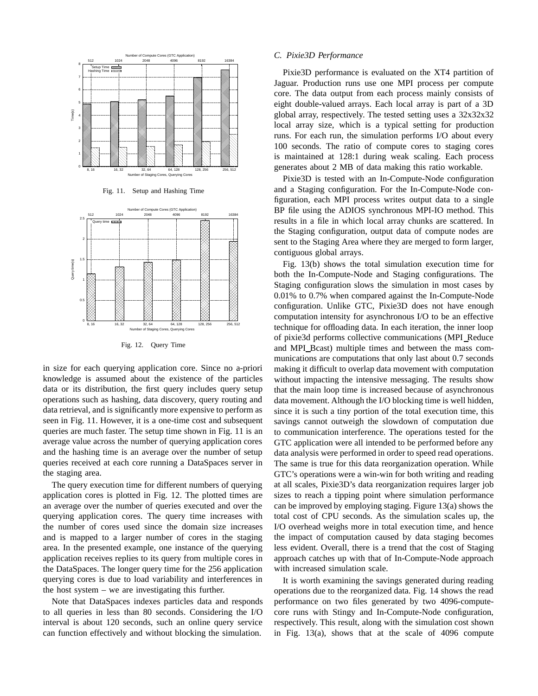





Fig. 12. Query Time

in size for each querying application core. Since no a-priori knowledge is assumed about the existence of the particles data or its distribution, the first query includes query setup operations such as hashing, data discovery, query routing and data retrieval, and is significantly more expensive to perform as seen in Fig. 11. However, it is a one-time cost and subsequent queries are much faster. The setup time shown in Fig. 11 is an average value across the number of querying application cores and the hashing time is an average over the number of setup queries received at each core running a DataSpaces server in the staging area.

The query execution time for different numbers of querying application cores is plotted in Fig. 12. The plotted times are an average over the number of queries executed and over the querying application cores. The query time increases with the number of cores used since the domain size increases and is mapped to a larger number of cores in the staging area. In the presented example, one instance of the querying application receives replies to its query from multiple cores in the DataSpaces. The longer query time for the 256 application querying cores is due to load variability and interferences in the host system – we are investigating this further.

Note that DataSpaces indexes particles data and responds to all queries in less than 80 seconds. Considering the I/O interval is about 120 seconds, such an online query service can function effectively and without blocking the simulation.

### *C. Pixie3D Performance*

Pixie3D performance is evaluated on the XT4 partition of Jaguar. Production runs use one MPI process per compute core. The data output from each process mainly consists of eight double-valued arrays. Each local array is part of a 3D global array, respectively. The tested setting uses a 32x32x32 local array size, which is a typical setting for production runs. For each run, the simulation performs I/O about every 100 seconds. The ratio of compute cores to staging cores is maintained at 128:1 during weak scaling. Each process generates about 2 MB of data making this ratio workable.

Pixie3D is tested with an In-Compute-Node configuration and a Staging configuration. For the In-Compute-Node configuration, each MPI process writes output data to a single BP file using the ADIOS synchronous MPI-IO method. This results in a file in which local array chunks are scattered. In the Staging configuration, output data of compute nodes are sent to the Staging Area where they are merged to form larger, contiguous global arrays.

Fig. 13(b) shows the total simulation execution time for both the In-Compute-Node and Staging configurations. The Staging configuration slows the simulation in most cases by 0.01% to 0.7% when compared against the In-Compute-Node configuration. Unlike GTC, Pixie3D does not have enough computation intensity for asynchronous I/O to be an effective technique for offloading data. In each iteration, the inner loop of pixie3d performs collective communications (MPI Reduce and MPI\_Bcast) multiple times and between the mass communications are computations that only last about 0.7 seconds making it difficult to overlap data movement with computation without impacting the intensive messaging. The results show that the main loop time is increased because of asynchronous data movement. Although the I/O blocking time is well hidden, since it is such a tiny portion of the total execution time, this savings cannot outweigh the slowdown of computation due to communication interference. The operations tested for the GTC application were all intended to be performed before any data analysis were performed in order to speed read operations. The same is true for this data reorganization operation. While GTC's operations were a win-win for both writing and reading at all scales, Pixie3D's data reorganization requires larger job sizes to reach a tipping point where simulation performance can be improved by employing staging. Figure 13(a) shows the total cost of CPU seconds. As the simulation scales up, the I/O overhead weighs more in total execution time, and hence the impact of computation caused by data staging becomes less evident. Overall, there is a trend that the cost of Staging approach catches up with that of In-Compute-Node approach with increased simulation scale.

It is worth examining the savings generated during reading operations due to the reorganized data. Fig. 14 shows the read performance on two files generated by two 4096-computecore runs with Stingy and In-Compute-Node configuration, respectively. This result, along with the simulation cost shown in Fig. 13(a), shows that at the scale of 4096 compute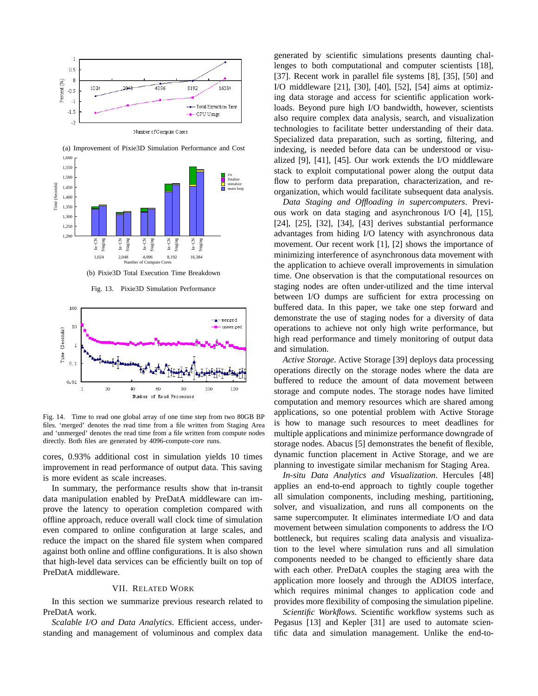



(a) Improvement of Pixie3D Simulation Performance and Cost 1,600

Fig. 13. Pixie3D Simulation Performance



Fig. 14. Time to read one global array of one time step from two 80GB BP files. 'merged' denotes the read time from a file written from Staging Area and 'unmerged' denotes the read time from a file written from compute nodes directly. Both files are generated by 4096-compute-core runs.

cores, 0.93% additional cost in simulation yields 10 times improvement in read performance of output data. This saving is more evident as scale increases.

In summary, the performance results show that in-transit data manipulation enabled by PreDatA middleware can improve the latency to operation completion compared with offline approach, reduce overall wall clock time of simulation even compared to online configuration at large scales, and reduce the impact on the shared file system when compared against both online and offline configurations. It is also shown that high-level data services can be efficiently built on top of PreDatA middleware.

### VII. RELATED WORK

In this section we summarize previous research related to PreDatA work.

*Scalable I/O and Data Analytics*. Efficient access, understanding and management of voluminous and complex data

generated by scientific simulations presents daunting challenges to both computational and computer scientists [18], [37]. Recent work in parallel file systems [8], [35], [50] and I/O middleware [21], [30], [40], [52], [54] aims at optimizing data storage and access for scientific application workloads. Beyond pure high I/O bandwidth, however, scientists also require complex data analysis, search, and visualization technologies to facilitate better understanding of their data. Specialized data preparation, such as sorting, filtering, and indexing, is needed before data can be understood or visualized [9], [41], [45]. Our work extends the I/O middleware stack to exploit computational power along the output data flow to perform data preparation, characterization, and reorganization, which would facilitate subsequent data analysis.

*Data Staging and Offloading in supercomputers*. Previous work on data staging and asynchronous I/O [4], [15], [24], [25], [32], [34], [43] derives substantial performance advantages from hiding I/O latency with asynchronous data movement. Our recent work [1], [2] shows the importance of minimizing interference of asynchronous data movement with the application to achieve overall improvements in simulation time. One observation is that the computational resources on staging nodes are often under-utilized and the time interval between I/O dumps are sufficient for extra processing on buffered data. In this paper, we take one step forward and demonstrate the use of staging nodes for a diversity of data operations to achieve not only high write performance, but high read performance and timely monitoring of output data and simulation.

*Active Storage*. Active Storage [39] deploys data processing operations directly on the storage nodes where the data are buffered to reduce the amount of data movement between storage and compute nodes. The storage nodes have limited computation and memory resources which are shared among applications, so one potential problem with Active Storage is how to manage such resources to meet deadlines for multiple applications and minimize performance downgrade of storage nodes. Abacus [5] demonstrates the benefit of flexible, dynamic function placement in Active Storage, and we are planning to investigate similar mechanism for Staging Area.

*In-situ Data Analytics and Visualization*. Hercules [48] applies an end-to-end approach to tightly couple together all simulation components, including meshing, partitioning, solver, and visualization, and runs all components on the same supercomputer. It eliminates intermediate I/O and data movement between simulation components to address the I/O bottleneck, but requires scaling data analysis and visualization to the level where simulation runs and all simulation components needed to be changed to efficiently share data with each other. PreDatA couples the staging area with the application more loosely and through the ADIOS interface, which requires minimal changes to application code and provides more flexibility of composing the simulation pipeline.

*Scientific Workflows*. Scientific workflow systems such as Pegasus [13] and Kepler [31] are used to automate scientific data and simulation management. Unlike the end-to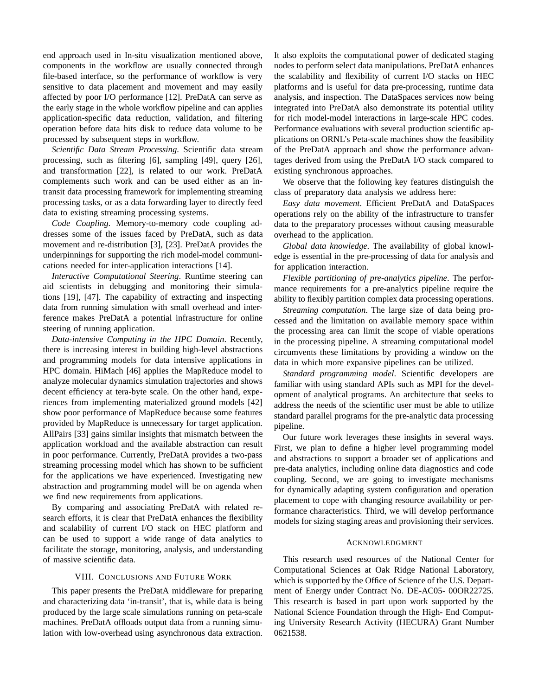end approach used in In-situ visualization mentioned above, components in the workflow are usually connected through file-based interface, so the performance of workflow is very sensitive to data placement and movement and may easily affected by poor I/O performance [12]. PreDatA can serve as the early stage in the whole workflow pipeline and can applies application-specific data reduction, validation, and filtering operation before data hits disk to reduce data volume to be processed by subsequent steps in workflow.

*Scientific Data Stream Processing*. Scientific data stream processing, such as filtering [6], sampling [49], query [26], and transformation [22], is related to our work. PreDatA complements such work and can be used either as an intransit data processing framework for implementing streaming processing tasks, or as a data forwarding layer to directly feed data to existing streaming processing systems.

*Code Coupling*. Memory-to-memory code coupling addresses some of the issues faced by PreDatA, such as data movement and re-distribution [3], [23]. PreDatA provides the underpinnings for supporting the rich model-model communications needed for inter-application interactions [14].

*Interactive Computational Steering*. Runtime steering can aid scientists in debugging and monitoring their simulations [19], [47]. The capability of extracting and inspecting data from running simulation with small overhead and interference makes PreDatA a potential infrastructure for online steering of running application.

*Data-intensive Computing in the HPC Domain*. Recently, there is increasing interest in building high-level abstractions and programming models for data intensive applications in HPC domain. HiMach [46] applies the MapReduce model to analyze molecular dynamics simulation trajectories and shows decent efficiency at tera-byte scale. On the other hand, experiences from implementing materialized ground models [42] show poor performance of MapReduce because some features provided by MapReduce is unnecessary for target application. AllPairs [33] gains similar insights that mismatch between the application workload and the available abstraction can result in poor performance. Currently, PreDatA provides a two-pass streaming processing model which has shown to be sufficient for the applications we have experienced. Investigating new abstraction and programming model will be on agenda when we find new requirements from applications.

By comparing and associating PreDatA with related research efforts, it is clear that PreDatA enhances the flexibility and scalability of current I/O stack on HEC platform and can be used to support a wide range of data analytics to facilitate the storage, monitoring, analysis, and understanding of massive scientific data.

#### VIII. CONCLUSIONS AND FUTURE WORK

This paper presents the PreDatA middleware for preparing and characterizing data 'in-transit', that is, while data is being produced by the large scale simulations running on peta-scale machines. PreDatA offloads output data from a running simulation with low-overhead using asynchronous data extraction.

It also exploits the computational power of dedicated staging nodes to perform select data manipulations. PreDatA enhances the scalability and flexibility of current I/O stacks on HEC platforms and is useful for data pre-processing, runtime data analysis, and inspection. The DataSpaces services now being integrated into PreDatA also demonstrate its potential utility for rich model-model interactions in large-scale HPC codes. Performance evaluations with several production scientific applications on ORNL's Peta-scale machines show the feasibility of the PreDatA approach and show the performance advantages derived from using the PreDatA I/O stack compared to existing synchronous approaches.

We observe that the following key features distinguish the class of preparatory data analysis we address here:

*Easy data movement*. Efficient PreDatA and DataSpaces operations rely on the ability of the infrastructure to transfer data to the preparatory processes without causing measurable overhead to the application.

*Global data knowledge*. The availability of global knowledge is essential in the pre-processing of data for analysis and for application interaction.

*Flexible partitioning of pre-analytics pipeline*. The performance requirements for a pre-analytics pipeline require the ability to flexibly partition complex data processing operations.

*Streaming computation*. The large size of data being processed and the limitation on available memory space within the processing area can limit the scope of viable operations in the processing pipeline. A streaming computational model circumvents these limitations by providing a window on the data in which more expansive pipelines can be utilized.

*Standard programming model*. Scientific developers are familiar with using standard APIs such as MPI for the development of analytical programs. An architecture that seeks to address the needs of the scientific user must be able to utilize standard parallel programs for the pre-analytic data processing pipeline.

Our future work leverages these insights in several ways. First, we plan to define a higher level programming model and abstractions to support a broader set of applications and pre-data analytics, including online data diagnostics and code coupling. Second, we are going to investigate mechanisms for dynamically adapting system configuration and operation placement to cope with changing resource availability or performance characteristics. Third, we will develop performance models for sizing staging areas and provisioning their services.

#### ACKNOWLEDGMENT

This research used resources of the National Center for Computational Sciences at Oak Ridge National Laboratory, which is supported by the Office of Science of the U.S. Department of Energy under Contract No. DE-AC05- 00OR22725. This research is based in part upon work supported by the National Science Foundation through the High- End Computing University Research Activity (HECURA) Grant Number 0621538.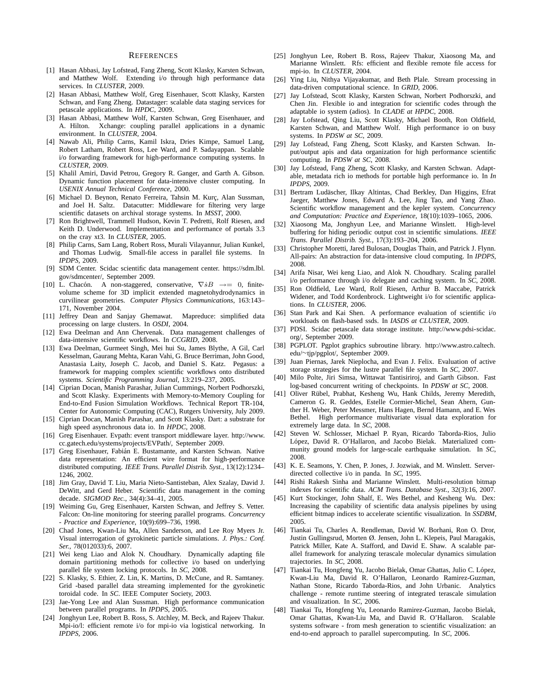#### **REFERENCES**

- [1] Hasan Abbasi, Jay Lofstead, Fang Zheng, Scott Klasky, Karsten Schwan, and Matthew Wolf. Extending i/o through high performance data services. In *CLUSTER*, 2009.
- [2] Hasan Abbasi, Matthew Wolf, Greg Eisenhauer, Scott Klasky, Karsten Schwan, and Fang Zheng. Datastager: scalable data staging services for petascale applications. In *HPDC*, 2009.
- [3] Hasan Abbasi, Matthew Wolf, Karsten Schwan, Greg Eisenhauer, and A. Hilton. Xchange: coupling parallel applications in a dynamic environment. In *CLUSTER*, 2004.
- [4] Nawab Ali, Philip Carns, Kamil Iskra, Dries Kimpe, Samuel Lang, Robert Latham, Robert Ross, Lee Ward, and P. Sadayappan. Scalable i/o forwarding framework for high-performance computing systems. In *CLUSTER*, 2009.
- [5] Khalil Amiri, David Petrou, Gregory R. Ganger, and Garth A. Gibson. Dynamic function placement for data-intensive cluster computing. In *USENIX Annual Technical Conference*, 2000.
- [6] Michael D. Beynon, Renato Ferreira, Tahsin M. Kurç, Alan Sussman, and Joel H. Saltz. Datacutter: Middleware for filtering very large scientific datasets on archival storage systems. In *MSST*, 2000.
- [7] Ron Brightwell, Trammell Hudson, Kevin T. Pedretti, Rolf Riesen, and Keith D. Underwood. Implementation and performance of portals 3.3 on the cray xt3. In *CLUSTER*, 2005.
- [8] Philip Carns, Sam Lang, Robert Ross, Murali Vilayannur, Julian Kunkel, and Thomas Ludwig. Small-file access in parallel file systems. In *IPDPS*, 2009.
- [9] SDM Center. Scidac scientific data management center. https://sdm.lbl. gov/sdmcenter/, September 2009.
- [10] L. Chacón. A non-staggered, conservative,  $\nabla sB \rightarrow 0$ , finitevolume scheme for 3D implicit extended magnetohydrodynamics in curvilinear geometries. *Computer Physics Communications*, 163:143– 171, November 2004.
- [11] Jeffrey Dean and Sanjay Ghemawat. Mapreduce: simplified data processing on large clusters. In *OSDI*, 2004.
- [12] Ewa Deelman and Ann Chervenak. Data management challenges of data-intensive scientific workflows. In *CCGRID*, 2008.
- [13] Ewa Deelman, Gurmeet Singh, Mei hui Su, James Blythe, A Gil, Carl Kesselman, Gaurang Mehta, Karan Vahi, G. Bruce Berriman, John Good, Anastasia Laity, Joseph C. Jacob, and Daniel S. Katz. Pegasus: a framework for mapping complex scientific workflows onto distributed systems. *Scientific Programming Journal*, 13:219–237, 2005.
- [14] Ciprian Docan, Manish Parashar, Julian Cummings, Norbert Podhorszki, and Scott Klasky. Experiments with Memory-to-Memory Coupling for End-to-End Fusion Simulation Workflows. Technical Report TR-104, Center for Autonomic Computing (CAC), Rutgers University, July 2009.
- [15] Ciprian Docan, Manish Parashar, and Scott Klasky. Dart: a substrate for high speed asynchronous data io. In *HPDC*, 2008.
- [16] Greg Eisenhauer. Evpath: event transport middleware layer. http://www. cc.gatech.edu/systems/projects/EVPath/, September 2009.
- [17] Greg Eisenhauer, Fabián E. Bustamante, and Karsten Schwan. Native data representation: An efficient wire format for high-performance distributed computing. *IEEE Trans. Parallel Distrib. Syst.*, 13(12):1234– 1246, 2002.
- [18] Jim Gray, David T. Liu, Maria Nieto-Santisteban, Alex Szalay, David J. DeWitt, and Gerd Heber. Scientific data management in the coming decade. *SIGMOD Rec.*, 34(4):34–41, 2005.
- [19] Weiming Gu, Greg Eisenhauer, Karsten Schwan, and Jeffrey S. Vetter. Falcon: On-line monitoring for steering parallel programs. *Concurrency - Practice and Experience*, 10(9):699–736, 1998.
- [20] Chad Jones, Kwan-Liu Ma, Allen Sanderson, and Lee Roy Myers Jr. Visual interrogation of gyrokinetic particle simulations. *J. Phys.: Conf. Ser.*, 78(012033):6, 2007.
- [21] Wei keng Liao and Alok N. Choudhary. Dynamically adapting file domain partitioning methods for collective i/o based on underlying parallel file system locking protocols. In *SC*, 2008.
- [22] S. Klasky, S. Ethier, Z. Lin, K. Martins, D. McCune, and R. Samtaney. Grid -based parallel data streaming implemented for the gyrokinetic toroidal code. In *SC*. IEEE Computer Society, 2003.
- [23] Jae-Yong Lee and Alan Sussman. High performance communication between parallel programs. In *IPDPS*, 2005.
- [24] Jonghyun Lee, Robert B. Ross, S. Atchley, M. Beck, and Rajeev Thakur. Mpi-io/l: efficient remote i/o for mpi-io via logistical networking. In *IPDPS*, 2006.
- [25] Jonghyun Lee, Robert B. Ross, Rajeev Thakur, Xiaosong Ma, and Marianne Winslett. Rfs: efficient and flexible remote file access for mpi-io. In *CLUSTER*, 2004.
- [26] Ying Liu, Nithya Vijayakumar, and Beth Plale. Stream processing in data-driven computational science. In *GRID*, 2006.
- [27] Jay Lofstead, Scott Klasky, Karsten Schwan, Norbert Podhorszki, and Chen Jin. Flexible io and integration for scientific codes through the adaptable io system (adios). In *CLADE at HPDC*, 2008.
- [28] Jay Lofstead, Qing Liu, Scott Klasky, Michael Booth, Ron Oldfield, Karsten Schwan, and Matthew Wolf. High performance io on busy systems. In *PDSW at SC*, 2009.
- [29] Jay Lofstead, Fang Zheng, Scott Klasky, and Karsten Schwan. Input/output apis and data organization for high performance scientific computing. In *PDSW at SC*, 2008.
- [30] Jay Lofstead, Fang Zheng, Scott Klasky, and Karsten Schwan. Adaptable, metadata rich io methods for portable high performance io. In *In IPDPS*, 2009.
- [31] Bertram Ludäscher, Ilkay Altintas, Chad Berkley, Dan Higgins, Efrat Jaeger, Matthew Jones, Edward A. Lee, Jing Tao, and Yang Zhao. Scientific workflow management and the kepler system. *Concurrency and Computation: Practice and Experience*, 18(10):1039–1065, 2006.
- [32] Xiaosong Ma, Jonghyun Lee, and Marianne Winslett. High-level buffering for hiding periodic output cost in scientific simulations. *IEEE Trans. Parallel Distrib. Syst.*, 17(3):193–204, 2006.
- [33] Christopher Moretti, Jared Bulosan, Douglas Thain, and Patrick J. Flynn. All-pairs: An abstraction for data-intensive cloud computing. In *IPDPS*, 2008.
- [34] Arifa Nisar, Wei keng Liao, and Alok N. Choudhary. Scaling parallel i/o performance through i/o delegate and caching system. In *SC*, 2008.
- [35] Ron Oldfield, Lee Ward, Rolf Riesen, Arthur B. Maccabe, Patrick Widener, and Todd Kordenbrock. Lightweight i/o for scientific applications. In *CLUSTER*, 2006.
- [36] Stan Park and Kai Shen. A performance evaluation of scientific i/o workloads on flash-based ssds. In *IASDS at CLUSTER*, 2009.
- [37] PDSI. Scidac petascale data storage institute. http://www.pdsi-scidac. org/, September 2009.
- [38] PGPLOT. Pgplot graphics subroutine library. http://www.astro.caltech. edu/∼tjp/pgplot/, September 2009.
- [39] Juan Piernas, Jarek Nieplocha, and Evan J. Felix. Evaluation of active storage strategies for the lustre parallel file system. In *SC*, 2007.
- [40] Milo Polte, Jiri Simsa, Wittawat Tantisiriroj, and Garth Gibson. Fast log-based concurrent writing of checkpoints. In *PDSW at SC*, 2008.
- [41] Oliver Rübel, Prabhat, Kesheng Wu, Hank Childs, Jeremy Meredith, Cameron G. R. Geddes, Estelle Cormier-Michel, Sean Ahern, Gunther H. Weber, Peter Messmer, Hans Hagen, Bernd Hamann, and E. Wes Bethel. High performance multivariate visual data exploration for extremely large data. In *SC*, 2008.
- [42] Steven W. Schlosser, Michael P. Ryan, Ricardo Taborda-Rios, Julio López, David R. O'Hallaron, and Jacobo Bielak. Materialized community ground models for large-scale earthquake simulation. In *SC*, 2008.
- [43] K. E. Seamons, Y. Chen, P. Jones, J. Jozwiak, and M. Winslett. Serverdirected collective i/o in panda. In *SC*, 1995.
- [44] Rishi Rakesh Sinha and Marianne Winslett. Multi-resolution bitmap indexes for scientific data. *ACM Trans. Database Syst.*, 32(3):16, 2007.
- [45] Kurt Stockinger, John Shalf, E. Wes Bethel, and Kesheng Wu. Dex: Increasing the capability of scientific data analysis pipelines by using efficient bitmap indices to accelerate scientific visualization. In *SSDBM*, 2005.
- [46] Tiankai Tu, Charles A. Rendleman, David W. Borhani, Ron O. Dror, Justin Gullingsrud, Morten Ø. Jensen, John L. Klepeis, Paul Maragakis, Patrick Miller, Kate A. Stafford, and David E. Shaw. A scalable parallel framework for analyzing terascale molecular dynamics simulation trajectories. In *SC*, 2008.
- [47] Tiankai Tu, Hongfeng Yu, Jacobo Bielak, Omar Ghattas, Julio C. López, Kwan-Liu Ma, David R. O'Hallaron, Leonardo Ramirez-Guzman, Nathan Stone, Ricardo Taborda-Rios, and John Urbanic. Analytics challenge - remote runtime steering of integrated terascale simulation and visualization. In *SC*, 2006.
- [48] Tiankai Tu, Hongfeng Yu, Leonardo Ramirez-Guzman, Jacobo Bielak, Omar Ghattas, Kwan-Liu Ma, and David R. O'Hallaron. Scalable systems software - from mesh generation to scientific visualization: an end-to-end approach to parallel supercomputing. In *SC*, 2006.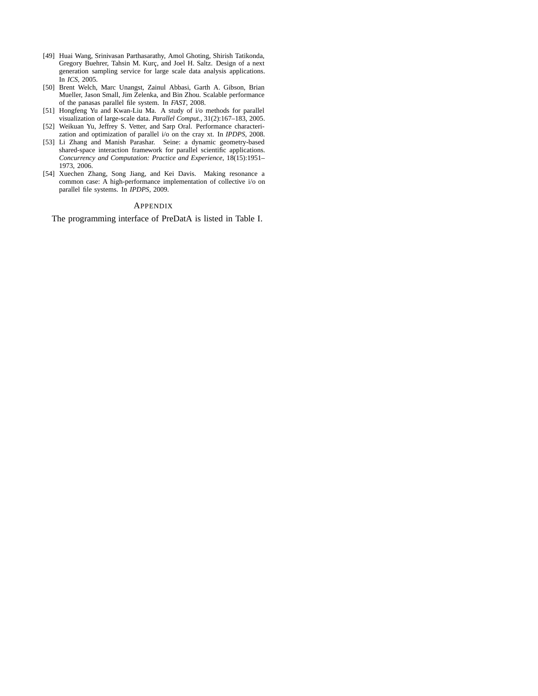- [49] Huai Wang, Srinivasan Parthasarathy, Amol Ghoting, Shirish Tatikonda, Gregory Buehrer, Tahsin M. Kurç, and Joel H. Saltz. Design of a next generation sampling service for large scale data analysis applications. In *ICS*, 2005.
- [50] Brent Welch, Marc Unangst, Zainul Abbasi, Garth A. Gibson, Brian Mueller, Jason Small, Jim Zelenka, and Bin Zhou. Scalable performance of the panasas parallel file system. In *FAST*, 2008.
- [51] Hongfeng Yu and Kwan-Liu Ma. A study of i/o methods for parallel visualization of large-scale data. *Parallel Comput.*, 31(2):167–183, 2005.
- [52] Weikuan Yu, Jeffrey S. Vetter, and Sarp Oral. Performance characterization and optimization of parallel i/o on the cray xt. In *IPDPS*, 2008.
- [53] Li Zhang and Manish Parashar. Seine: a dynamic geometry-based shared-space interaction framework for parallel scientific applications. *Concurrency and Computation: Practice and Experience*, 18(15):1951– 1973, 2006.
- [54] Xuechen Zhang, Song Jiang, and Kei Davis. Making resonance a common case: A high-performance implementation of collective i/o on parallel file systems. In *IPDPS*, 2009.

#### APPENDIX

The programming interface of PreDatA is listed in Table I.